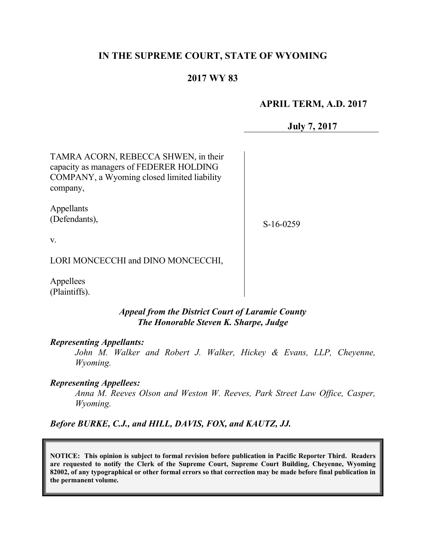# **IN THE SUPREME COURT, STATE OF WYOMING**

# **2017 WY 83**

### **APRIL TERM, A.D. 2017**

**July 7, 2017**

TAMRA ACORN, REBECCA SHWEN, in their capacity as managers of FEDERER HOLDING COMPANY, a Wyoming closed limited liability company,

Appellants (Defendants),

S-16-0259

v.

LORI MONCECCHI and DINO MONCECCHI,

Appellees (Plaintiffs).

### *Appeal from the District Court of Laramie County The Honorable Steven K. Sharpe, Judge*

#### *Representing Appellants:*

*John M. Walker and Robert J. Walker, Hickey & Evans, LLP, Cheyenne, Wyoming.*

#### *Representing Appellees:*

*Anna M. Reeves Olson and Weston W. Reeves, Park Street Law Office, Casper, Wyoming.*

*Before BURKE, C.J., and HILL, DAVIS, FOX, and KAUTZ, JJ.*

**NOTICE: This opinion is subject to formal revision before publication in Pacific Reporter Third. Readers are requested to notify the Clerk of the Supreme Court, Supreme Court Building, Cheyenne, Wyoming 82002, of any typographical or other formal errors so that correction may be made before final publication in the permanent volume.**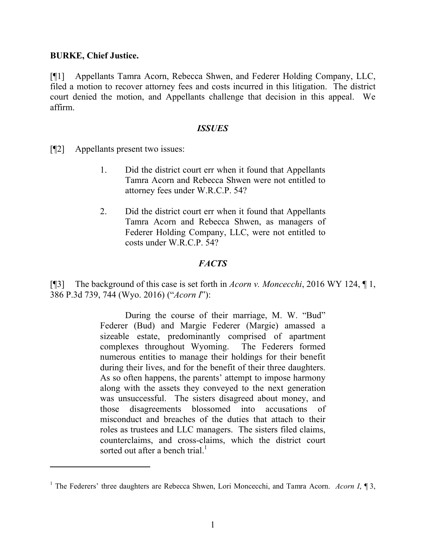### **BURKE, Chief Justice.**

 $\overline{a}$ 

[¶1] Appellants Tamra Acorn, Rebecca Shwen, and Federer Holding Company, LLC, filed a motion to recover attorney fees and costs incurred in this litigation. The district court denied the motion, and Appellants challenge that decision in this appeal. We affirm.

### *ISSUES*

[¶2] Appellants present two issues:

- 1. Did the district court err when it found that Appellants Tamra Acorn and Rebecca Shwen were not entitled to attorney fees under W.R.C.P. 54?
- 2. Did the district court err when it found that Appellants Tamra Acorn and Rebecca Shwen, as managers of Federer Holding Company, LLC, were not entitled to costs under W.R.C.P.  $54$ ?

# *FACTS*

[¶3] The background of this case is set forth in *Acorn v. Moncecchi*, 2016 WY 124, ¶ 1, 386 P.3d 739, 744 (Wyo. 2016) ("*Acorn I*"):

> During the course of their marriage, M. W. "Bud" Federer (Bud) and Margie Federer (Margie) amassed a sizeable estate, predominantly comprised of apartment complexes throughout Wyoming. The Federers formed numerous entities to manage their holdings for their benefit during their lives, and for the benefit of their three daughters. As so often happens, the parents' attempt to impose harmony along with the assets they conveyed to the next generation was unsuccessful. The sisters disagreed about money, and those disagreements blossomed into accusations of misconduct and breaches of the duties that attach to their roles as trustees and LLC managers. The sisters filed claims, counterclaims, and cross-claims, which the district court sorted out after a bench trial.<sup>1</sup>

<sup>1</sup> The Federers' three daughters are Rebecca Shwen, Lori Moncecchi, and Tamra Acorn. *Acorn I*, ¶ 3,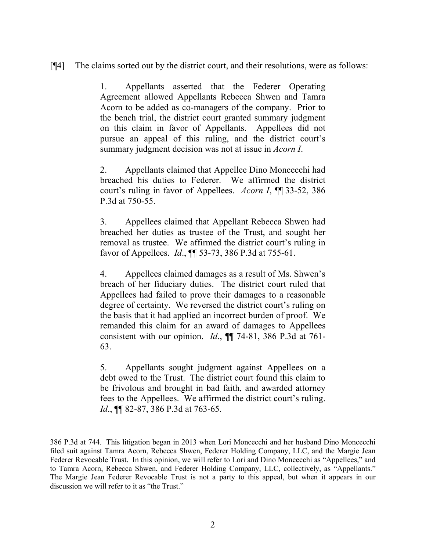[¶4] The claims sorted out by the district court, and their resolutions, were as follows:

1. Appellants asserted that the Federer Operating Agreement allowed Appellants Rebecca Shwen and Tamra Acorn to be added as co-managers of the company. Prior to the bench trial, the district court granted summary judgment on this claim in favor of Appellants. Appellees did not pursue an appeal of this ruling, and the district court's summary judgment decision was not at issue in *Acorn I*.

2. Appellants claimed that Appellee Dino Moncecchi had breached his duties to Federer. We affirmed the district court's ruling in favor of Appellees. *Acorn I*, ¶¶ 33-52, 386 P.3d at 750-55.

3. Appellees claimed that Appellant Rebecca Shwen had breached her duties as trustee of the Trust, and sought her removal as trustee. We affirmed the district court's ruling in favor of Appellees. *Id*., ¶¶ 53-73, 386 P.3d at 755-61.

4. Appellees claimed damages as a result of Ms. Shwen's breach of her fiduciary duties. The district court ruled that Appellees had failed to prove their damages to a reasonable degree of certainty. We reversed the district court's ruling on the basis that it had applied an incorrect burden of proof. We remanded this claim for an award of damages to Appellees consistent with our opinion. *Id*., ¶¶ 74-81, 386 P.3d at 761- 63.

5. Appellants sought judgment against Appellees on a debt owed to the Trust. The district court found this claim to be frivolous and brought in bad faith, and awarded attorney fees to the Appellees. We affirmed the district court's ruling. *Id.*, **¶** 82-87, 386 P.3d at 763-65.

<sup>386</sup> P.3d at 744. This litigation began in 2013 when Lori Moncecchi and her husband Dino Moncecchi filed suit against Tamra Acorn, Rebecca Shwen, Federer Holding Company, LLC, and the Margie Jean Federer Revocable Trust. In this opinion, we will refer to Lori and Dino Moncecchi as "Appellees," and to Tamra Acorn, Rebecca Shwen, and Federer Holding Company, LLC, collectively, as "Appellants." The Margie Jean Federer Revocable Trust is not a party to this appeal, but when it appears in our discussion we will refer to it as "the Trust."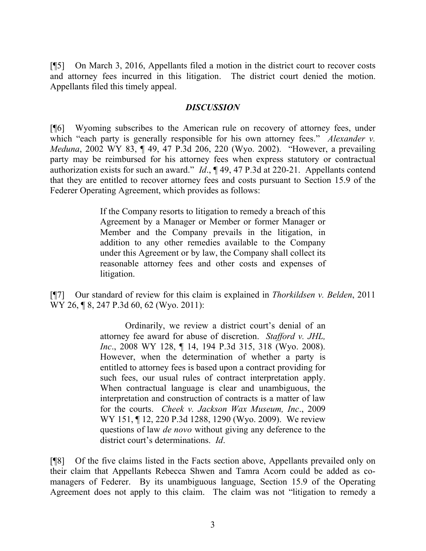[¶5] On March 3, 2016, Appellants filed a motion in the district court to recover costs and attorney fees incurred in this litigation. The district court denied the motion. Appellants filed this timely appeal.

### *DISCUSSION*

[¶6] Wyoming subscribes to the American rule on recovery of attorney fees, under which "each party is generally responsible for his own attorney fees." *Alexander v. Meduna*, 2002 WY 83, ¶ 49, 47 P.3d 206, 220 (Wyo. 2002). "However, a prevailing party may be reimbursed for his attorney fees when express statutory or contractual authorization exists for such an award." *Id*., ¶ 49, 47 P.3d at 220-21. Appellants contend that they are entitled to recover attorney fees and costs pursuant to Section 15.9 of the Federer Operating Agreement, which provides as follows:

> If the Company resorts to litigation to remedy a breach of this Agreement by a Manager or Member or former Manager or Member and the Company prevails in the litigation, in addition to any other remedies available to the Company under this Agreement or by law, the Company shall collect its reasonable attorney fees and other costs and expenses of litigation.

[¶7] Our standard of review for this claim is explained in *Thorkildsen v. Belden*, 2011 WY 26, **[8, 247 P.3d 60, 62 (Wyo. 2011):** 

> Ordinarily, we review a district court's denial of an attorney fee award for abuse of discretion. *Stafford v. JHL, Inc*., 2008 WY 128, ¶ 14, 194 P.3d 315, 318 (Wyo. 2008). However, when the determination of whether a party is entitled to attorney fees is based upon a contract providing for such fees, our usual rules of contract interpretation apply. When contractual language is clear and unambiguous, the interpretation and construction of contracts is a matter of law for the courts. *Cheek v. Jackson Wax Museum, Inc*., 2009 WY 151, ¶ 12, 220 P.3d 1288, 1290 (Wyo. 2009). We review questions of law *de novo* without giving any deference to the district court's determinations. *Id*.

[¶8] Of the five claims listed in the Facts section above, Appellants prevailed only on their claim that Appellants Rebecca Shwen and Tamra Acorn could be added as comanagers of Federer. By its unambiguous language, Section 15.9 of the Operating Agreement does not apply to this claim. The claim was not "litigation to remedy a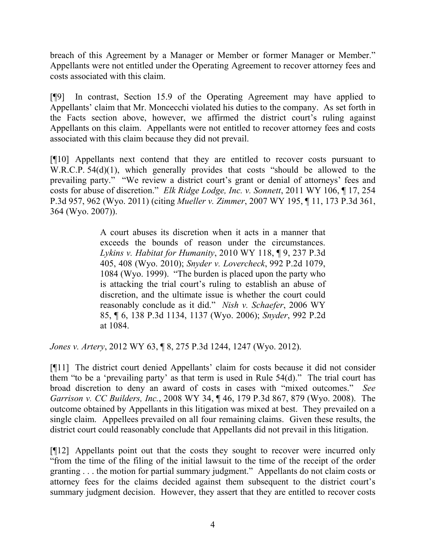breach of this Agreement by a Manager or Member or former Manager or Member." Appellants were not entitled under the Operating Agreement to recover attorney fees and costs associated with this claim.

[¶9] In contrast, Section 15.9 of the Operating Agreement may have applied to Appellants' claim that Mr. Moncecchi violated his duties to the company. As set forth in the Facts section above, however, we affirmed the district court's ruling against Appellants on this claim. Appellants were not entitled to recover attorney fees and costs associated with this claim because they did not prevail.

[¶10] Appellants next contend that they are entitled to recover costs pursuant to W.R.C.P. 54(d)(1), which generally provides that costs "should be allowed to the prevailing party." "We review a district court's grant or denial of attorneys' fees and costs for abuse of discretion." *Elk Ridge Lodge, Inc. v. Sonnett*, 2011 WY 106, ¶ 17, 254 P.3d 957, 962 (Wyo. 2011) (citing *Mueller v. Zimmer*, 2007 WY 195, ¶ 11, 173 P.3d 361, 364 (Wyo. 2007)).

> A court abuses its discretion when it acts in a manner that exceeds the bounds of reason under the circumstances. *Lykins v. Habitat for Humanity*, 2010 WY 118, ¶ 9, 237 P.3d 405, 408 (Wyo. 2010); *Snyder v. Lovercheck*, 992 P.2d 1079, 1084 (Wyo. 1999). "The burden is placed upon the party who is attacking the trial court's ruling to establish an abuse of discretion, and the ultimate issue is whether the court could reasonably conclude as it did." *Nish v. Schaefer*, 2006 WY 85, ¶ 6, 138 P.3d 1134, 1137 (Wyo. 2006); *Snyder*, 992 P.2d at 1084.

*Jones v. Artery*, 2012 WY 63, ¶ 8, 275 P.3d 1244, 1247 (Wyo. 2012).

[¶11] The district court denied Appellants' claim for costs because it did not consider them "to be a 'prevailing party' as that term is used in Rule 54(d)." The trial court has broad discretion to deny an award of costs in cases with "mixed outcomes." *See Garrison v. CC Builders, Inc.*, 2008 WY 34, ¶ 46, 179 P.3d 867, 879 (Wyo. 2008). The outcome obtained by Appellants in this litigation was mixed at best. They prevailed on a single claim. Appellees prevailed on all four remaining claims. Given these results, the district court could reasonably conclude that Appellants did not prevail in this litigation.

[¶12] Appellants point out that the costs they sought to recover were incurred only "from the time of the filing of the initial lawsuit to the time of the receipt of the order granting . . . the motion for partial summary judgment." Appellants do not claim costs or attorney fees for the claims decided against them subsequent to the district court's summary judgment decision. However, they assert that they are entitled to recover costs